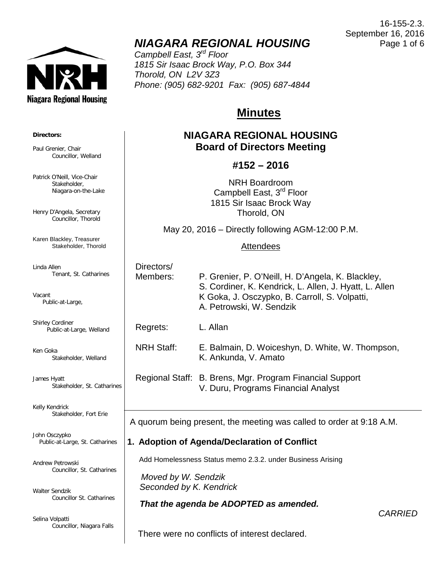

# *NIAGARA REGIONAL HOUSING*

*Campbell East, 3rd Floor 1815 Sir Isaac Brock Way, P.O. Box 344 Thorold, ON L2V 3Z3 Phone: (905) 682-9201 Fax: (905) 687-4844*

# **Minutes**

# **NIAGARA REGIONAL HOUSING Board of Directors Meeting**

# **#152 – 2016**

NRH Boardroom Campbell East, 3<sup>rd</sup> Floor 1815 Sir Isaac Brock Way Thorold, ON

May 20, 2016 – Directly following AGM-12:00 P.M.

### **Attendees**

| Directors/<br>Members: | P. Grenier, P. O'Neill, H. D'Angela, K. Blackley,<br>S. Cordiner, K. Kendrick, L. Allen, J. Hyatt, L. Allen<br>K Goka, J. Osczypko, B. Carroll, S. Volpatti,<br>A. Petrowski, W. Sendzik |
|------------------------|------------------------------------------------------------------------------------------------------------------------------------------------------------------------------------------|
| Regrets:               | L. Allan                                                                                                                                                                                 |
| <b>NRH Staff:</b>      | E. Balmain, D. Woiceshyn, D. White, W. Thompson,<br>K. Ankunda, V. Amato                                                                                                                 |
|                        | Regional Staff: B. Brens, Mgr. Program Financial Support<br>V. Duru, Programs Financial Analyst                                                                                          |

A quorum being present, the meeting was called to order at 9:18 A.M.

# **1. Adoption of Agenda/Declaration of Conflict**

Add Homelessness Status memo 2.3.2. under Business Arising

 *Moved by W. Sendzik Seconded by K. Kendrick*

# *That the agenda be ADOPTED as amended.*

*CARRIED*

There were no conflicts of interest declared.

**Directors:**

Paul Grenier, Chair Councillor, Welland

Patrick O'Neill, Vice-Chair Stakeholder, Niagara-on-the-Lake

Henry D'Angela, Secretary Councillor, Thorold

Karen Blackley, Treasurer Stakeholder, Thorold

Linda Allen Tenant, St. Catharines

Vacant Public-at-Large,

Shirley Cordiner Public-at-Large, Welland

Ken Goka Stakeholder, Welland

James Hyatt Stakeholder, St. Catharines

 $\overline{\phantom{a}}$ 

Kelly Kendrick Stakeholder, Fort Erie

John Osczypko Public-at-Large, St. Catharines

Andrew Petrowski Councillor, St. Catharines

Walter Sendzik Councillor St. Catharines

Selina Volpatti Councillor, Niagara Falls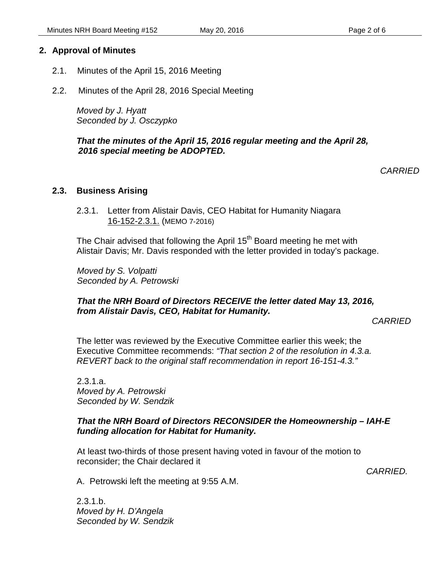### **2. Approval of Minutes**

- 2.1. Minutes of the April 15, 2016 Meeting
- 2.2. Minutes of the April 28, 2016 Special Meeting

*Moved by J. Hyatt Seconded by J. Osczypko*

### *That the minutes of the April 15, 2016 regular meeting and the April 28, 2016 special meeting be ADOPTED.*

*CARRIED*

### **2.3. Business Arising**

2.3.1. Letter from Alistair Davis, CEO Habitat for Humanity Niagara 16-152-2.3.1. (MEMO 7-2016)

The Chair advised that following the April 15<sup>th</sup> Board meeting he met with Alistair Davis; Mr. Davis responded with the letter provided in today's package.

*Moved by S. Volpatti Seconded by A. Petrowski* 

### *That the NRH Board of Directors RECEIVE the letter dated May 13, 2016, from Alistair Davis, CEO, Habitat for Humanity.*

*CARRIED*

The letter was reviewed by the Executive Committee earlier this week; the Executive Committee recommends: *"That section 2 of the resolution in 4.3.a. REVERT back to the original staff recommendation in report 16-151-4.3."*

2.3.1.a. *Moved by A. Petrowski Seconded by W. Sendzik*

### *That the NRH Board of Directors RECONSIDER the Homeownership – IAH-E funding allocation for Habitat for Humanity.*

At least two-thirds of those present having voted in favour of the motion to reconsider; the Chair declared it

*CARRIED.*

A. Petrowski left the meeting at 9:55 A.M.

 $2.3.1.b.$ *Moved by H. D'Angela Seconded by W. Sendzik*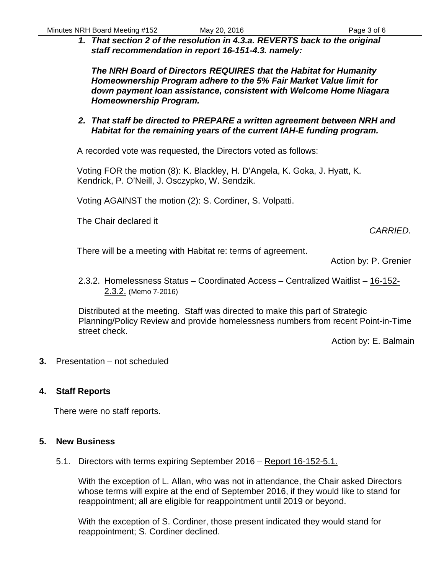*1. That section 2 of the resolution in 4.3.a. REVERTS back to the original staff recommendation in report 16-151-4.3. namely:*

*The NRH Board of Directors REQUIRES that the Habitat for Humanity Homeownership Program adhere to the 5% Fair Market Value limit for down payment loan assistance, consistent with Welcome Home Niagara Homeownership Program.*

*2. That staff be directed to PREPARE a written agreement between NRH and Habitat for the remaining years of the current IAH-E funding program.*

A recorded vote was requested, the Directors voted as follows:

Voting FOR the motion (8): K. Blackley, H. D'Angela, K. Goka, J. Hyatt, K. Kendrick, P. O'Neill, J. Osczypko, W. Sendzik.

Voting AGAINST the motion (2): S. Cordiner, S. Volpatti.

The Chair declared it

# *CARRIED.*

There will be a meeting with Habitat re: terms of agreement.

Action by: P. Grenier

2.3.2. Homelessness Status – Coordinated Access – Centralized Waitlist – 16-152- 2.3.2. (Memo 7-2016)

Distributed at the meeting. Staff was directed to make this part of Strategic Planning/Policy Review and provide homelessness numbers from recent Point-in-Time street check.

Action by: E. Balmain

**3.** Presentation – not scheduled

### **4. Staff Reports**

There were no staff reports.

### **5. New Business**

5.1. Directors with terms expiring September 2016 – Report 16-152-5.1.

With the exception of L. Allan, who was not in attendance, the Chair asked Directors whose terms will expire at the end of September 2016, if they would like to stand for reappointment; all are eligible for reappointment until 2019 or beyond.

With the exception of S. Cordiner, those present indicated they would stand for reappointment; S. Cordiner declined.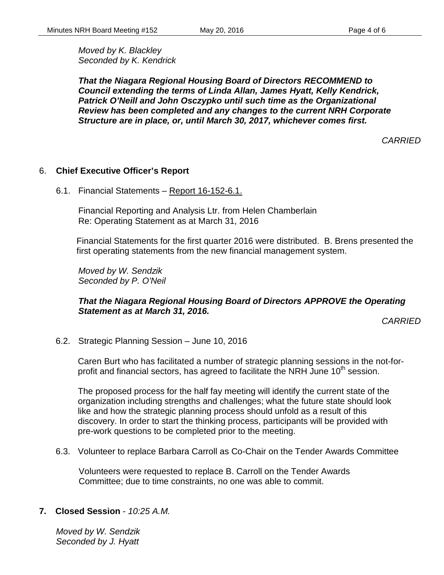*Moved by K. Blackley Seconded by K. Kendrick*

*That the Niagara Regional Housing Board of Directors RECOMMEND to Council extending the terms of Linda Allan, James Hyatt, Kelly Kendrick, Patrick O'Neill and John Osczypko until such time as the Organizational Review has been completed and any changes to the current NRH Corporate Structure are in place, or, until March 30, 2017, whichever comes first.* 

*CARRIED*

#### 6. **Chief Executive Officer's Report**

6.1. Financial Statements – Report 16-152-6.1.

Financial Reporting and Analysis Ltr. from Helen Chamberlain Re: Operating Statement as at March 31, 2016

Financial Statements for the first quarter 2016 were distributed. B. Brens presented the first operating statements from the new financial management system.

*Moved by W. Sendzik Seconded by P. O'Neil*

### *That the Niagara Regional Housing Board of Directors APPROVE the Operating Statement as at March 31, 2016.*

*CARRIED*

6.2. Strategic Planning Session – June 10, 2016

Caren Burt who has facilitated a number of strategic planning sessions in the not-forprofit and financial sectors, has agreed to facilitate the NRH June  $10<sup>th</sup>$  session.

The proposed process for the half fay meeting will identify the current state of the organization including strengths and challenges; what the future state should look like and how the strategic planning process should unfold as a result of this discovery. In order to start the thinking process, participants will be provided with pre-work questions to be completed prior to the meeting.

6.3. Volunteer to replace Barbara Carroll as Co-Chair on the Tender Awards Committee

Volunteers were requested to replace B. Carroll on the Tender Awards Committee; due to time constraints, no one was able to commit.

#### **7. Closed Session** - *10:25 A.M.*

*Moved by W. Sendzik Seconded by J. Hyatt*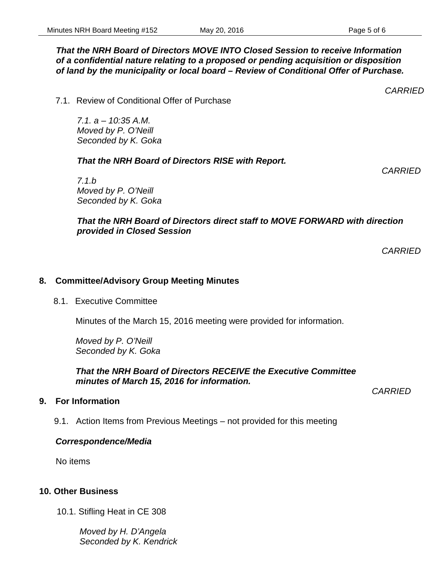### *That the NRH Board of Directors MOVE INTO Closed Session to receive Information of a confidential nature relating to a proposed or pending acquisition or disposition of land by the municipality or local board – Review of Conditional Offer of Purchase.*

7.1. Review of Conditional Offer of Purchase

*7.1. a – 10:35 A.M. Moved by P. O'Neill Seconded by K. Goka*

# *That the NRH Board of Directors RISE with Report.*

*7.1.b Moved by P. O'Neill Seconded by K. Goka*

# *That the NRH Board of Directors direct staff to MOVE FORWARD with direction provided in Closed Session*

*CARRIED*

# **8. Committee/Advisory Group Meeting Minutes**

# 8.1. Executive Committee

Minutes of the March 15, 2016 meeting were provided for information.

*Moved by P. O'Neill Seconded by K. Goka*

*That the NRH Board of Directors RECEIVE the Executive Committee minutes of March 15, 2016 for information.*

**9. For Information**

9.1. Action Items from Previous Meetings – not provided for this meeting

# *Correspondence/Media*

No items

# **10. Other Business**

10.1. Stifling Heat in CE 308

*Moved by H. D'Angela Seconded by K. Kendrick* *CARRIED*

*CARRIED*

*CARRIED*